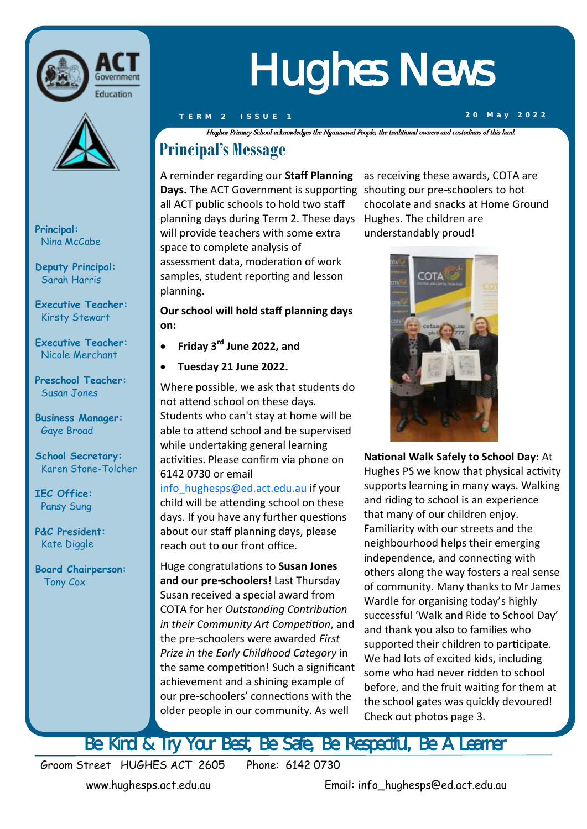



**Principal:**  Nina McCabe

**Deputy Principal:** Sarah Harris

**Executive Teacher:**  Kirsty Stewart

**Executive Teacher:**  Nicole Merchant

**Preschool Teacher:** Susan Jones

**Business Manager:** Gaye Broad

**School Secretary:**  Karen Stone-Tolcher

**IEC Office:** Pansy Sung

**P&C President:** Kate Diggle

**Board Chairperson:** Tony Cox

# Hughes News

Hughes Primary School acknowledges the Ngunnawal People, the traditional owners and custodians of this land.

### **Principal's Message**

A reminder regarding our **Staff Planning**  Days. The ACT Government is supporting shouting our pre-schoolers to hot all ACT public schools to hold two staff planning days during Term 2. These days Hughes. The children are will provide teachers with some extra space to complete analysis of assessment data, moderation of work samples, student reporting and lesson planning.

**Our school will hold staff planning days on:**

- **Friday 3rd June 2022, and**
- **Tuesday 21 June 2022.**

Where possible, we ask that students do not attend school on these days. Students who can't stay at home will be able to attend school and be supervised while undertaking general learning activities. Please confirm via phone on 6142 0730 or email

[info\\_hughesps@ed.act.edu.au](mailto:info_hughesps@ed.act.edu.au) if your child will be attending school on these days. If you have any further questions about our staff planning days, please reach out to our front office.

Huge congratulations to **Susan Jones and our pre-schoolers!** Last Thursday Susan received a special award from COTA for her *Outstanding Contribution in their Community Art Competition*, and the pre-schoolers were awarded *First Prize in the Early Childhood Category* in the same competition! Such a significant achievement and a shining example of our pre-schoolers' connections with the older people in our community. As well

as receiving these awards, COTA are chocolate and snacks at Home Ground understandably proud!



**National Walk Safely to School Day:** At Hughes PS we know that physical activity supports learning in many ways. Walking and riding to school is an experience that many of our children enjoy. Familiarity with our streets and the neighbourhood helps their emerging independence, and connecting with others along the way fosters a real sense of community. Many thanks to Mr James Wardle for organising today's highly successful 'Walk and Ride to School Day' and thank you also to families who supported their children to participate. We had lots of excited kids, including some who had never ridden to school before, and the fruit waiting for them at the school gates was quickly devoured! Check out photos page 3.

Be Kind & Try Your Best, Be Safe, Be Respectful, Be A Learner

Groom Street HUGHES ACT 2605 Phone: 6142 0730

www.hughesps.act.edu.au Email: info\_hughesps@ed.act.edu.au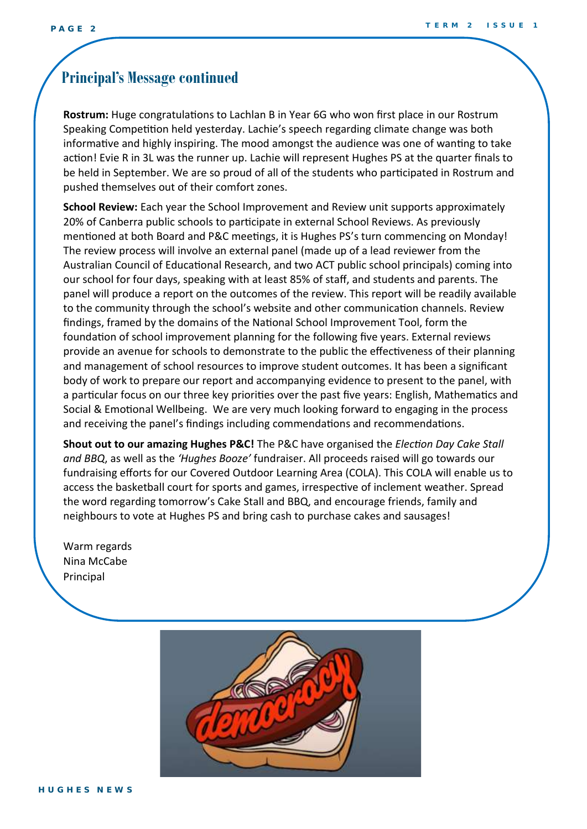#### **Principal's Message continued**

**Rostrum:** Huge congratulations to Lachlan B in Year 6G who won first place in our Rostrum Speaking Competition held yesterday. Lachie's speech regarding climate change was both informative and highly inspiring. The mood amongst the audience was one of wanting to take action! Evie R in 3L was the runner up. Lachie will represent Hughes PS at the quarter finals to be held in September. We are so proud of all of the students who participated in Rostrum and pushed themselves out of their comfort zones.

**School Review:** Each year the School Improvement and Review unit supports approximately 20% of Canberra public schools to participate in external School Reviews. As previously mentioned at both Board and P&C meetings, it is Hughes PS's turn commencing on Monday! The review process will involve an external panel (made up of a lead reviewer from the Australian Council of Educational Research, and two ACT public school principals) coming into our school for four days, speaking with at least 85% of staff, and students and parents. The panel will produce a report on the outcomes of the review. This report will be readily available to the community through the school's website and other communication channels. Review findings, framed by the domains of the National School Improvement Tool, form the foundation of school improvement planning for the following five years. External reviews provide an avenue for schools to demonstrate to the public the effectiveness of their planning and management of school resources to improve student outcomes. It has been a significant body of work to prepare our report and accompanying evidence to present to the panel, with a particular focus on our three key priorities over the past five years: English, Mathematics and Social & Emotional Wellbeing. We are very much looking forward to engaging in the process and receiving the panel's findings including commendations and recommendations.

**Shout out to our amazing Hughes P&C!** The P&C have organised the *Election Day Cake Stall and BBQ*, as well as the *'Hughes Booze'* fundraiser. All proceeds raised will go towards our fundraising efforts for our Covered Outdoor Learning Area (COLA). This COLA will enable us to access the basketball court for sports and games, irrespective of inclement weather. Spread the word regarding tomorrow's Cake Stall and BBQ, and encourage friends, family and neighbours to vote at Hughes PS and bring cash to purchase cakes and sausages!

Warm regards Nina McCabe Principal

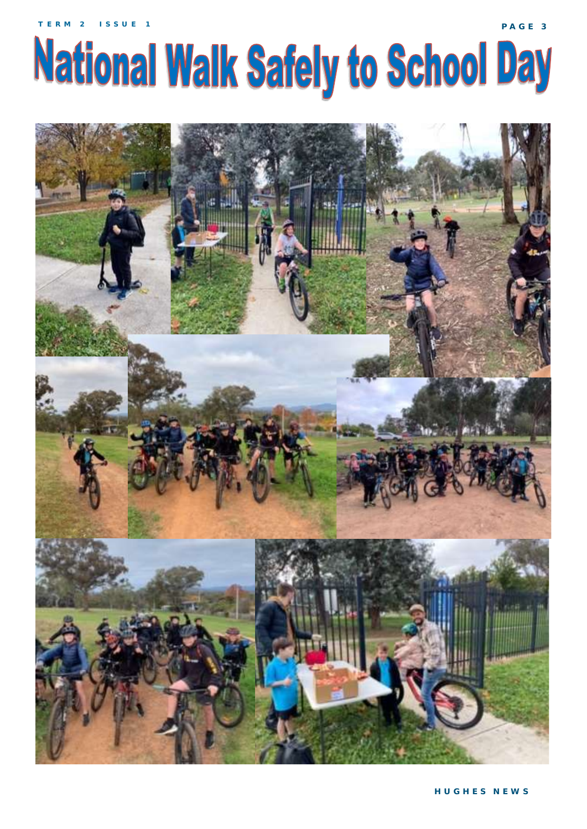# **National Walk Safely to School Day**



**P A G E 3**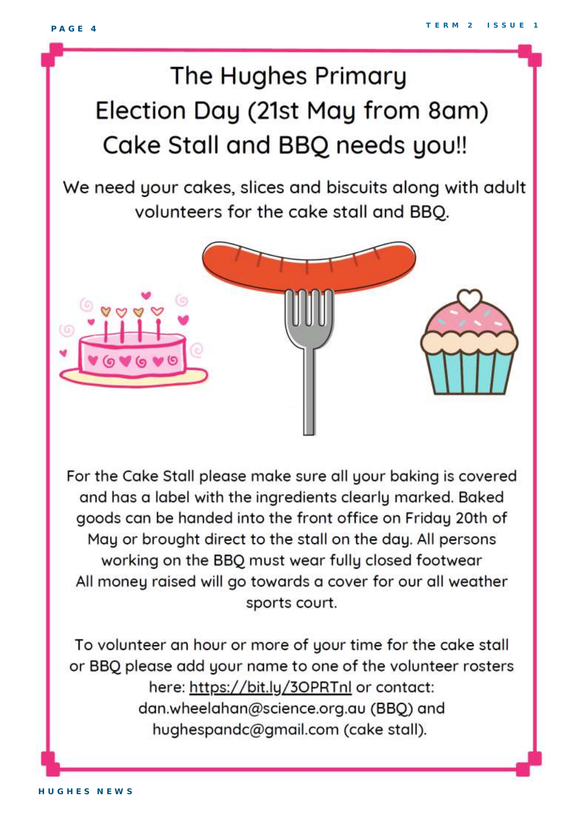## The Hughes Primary Election Day (21st May from 8am) Cake Stall and BBQ needs you!!

We need your cakes, slices and biscuits along with adult volunteers for the cake stall and BBQ.



For the Cake Stall please make sure all your baking is covered and has a label with the ingredients clearly marked. Baked goods can be handed into the front office on Friday 20th of May or brought direct to the stall on the day. All persons working on the BBQ must wear fully closed footwear All money raised will go towards a cover for our all weather sports court.

To volunteer an hour or more of your time for the cake stall or BBQ please add your name to one of the volunteer rosters here: https://bit.ly/30PRTnl or contact: dan.wheelahan@science.org.au (BBQ) and hughespandc@gmail.com (cake stall).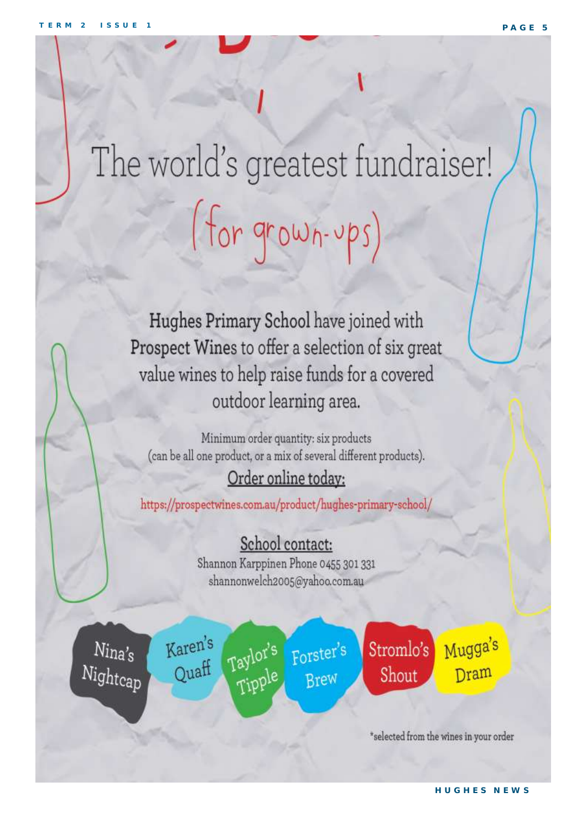# The world's greatest fundraiser! (for grown-ups)

Hughes Primary School have joined with Prospect Wines to offer a selection of six great value wines to help raise funds for a covered outdoor learning area.

Minimum order quantity: six products (can be all one product, or a mix of several different products).

### Order online today:

https://prospectwines.com.au/product/hughes-primary-school/

### School contact:

Shannon Karppinen Phone 0455 301 331 shannonwelch2005@yahoo.com.au

 $N$ ina's Nightcap Karen's Quaff

Taylor's Forster's Tipple Brew

Stromlo's Shout

Mugga's Dram

\*selected from the wines in your order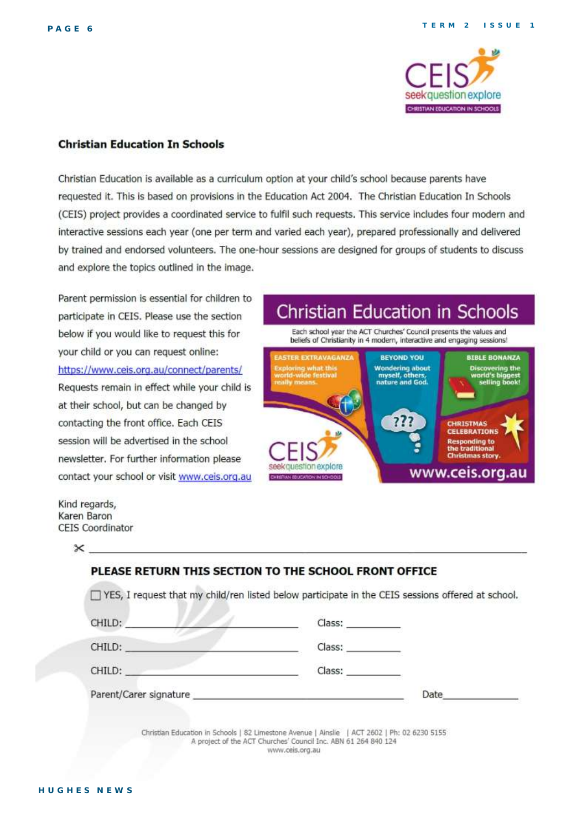

#### **Christian Education In Schools**

Christian Education is available as a curriculum option at your child's school because parents have requested it. This is based on provisions in the Education Act 2004. The Christian Education In Schools (CEIS) project provides a coordinated service to fulfil such requests. This service includes four modern and interactive sessions each year (one per term and varied each year), prepared professionally and delivered by trained and endorsed volunteers. The one-hour sessions are designed for groups of students to discuss and explore the topics outlined in the image.

Parent permission is essential for children to participate in CEIS. Please use the section below if you would like to request this for your child or you can request online: https://www.ceis.org.au/connect/parents/ Requests remain in effect while your child is at their school, but can be changed by contacting the front office. Each CEIS session will be advertised in the school newsletter. For further information please contact your school or visit www.ceis.org.au

**Christian Education in Schools** 

Each school year the ACT Churches' Council presents the values and beliefs of Christianity in 4 modern, interactive and engaging sessions!



Kind regards, Karen Baron **CEIS Coordinator** 

 $^{\times}$  .

| CHILD:                                                                                                                                                                                                                         | Class: ___________ |      |
|--------------------------------------------------------------------------------------------------------------------------------------------------------------------------------------------------------------------------------|--------------------|------|
| CHILD:                                                                                                                                                                                                                         | Class: University  |      |
| CHILD:                                                                                                                                                                                                                         | Class: Class       |      |
| Parent/Carer signature expansion of the contract of the contract of the contract of the contract of the contract of the contract of the contract of the contract of the contract of the contract of the contract of the contra |                    | Date |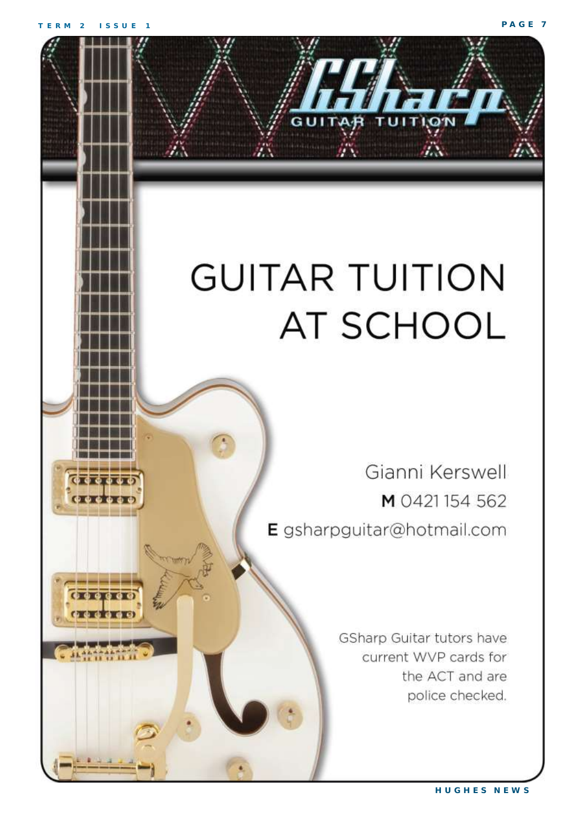$0.0000$ 

**O OKOK** 

## **GUITAR TUITION AT SCHOOL**

Gianni Kerswell M 0421154 562 E gsharpguitar@hotmail.com

> GSharp Guitar tutors have current WVP cards for the ACT and are police checked.